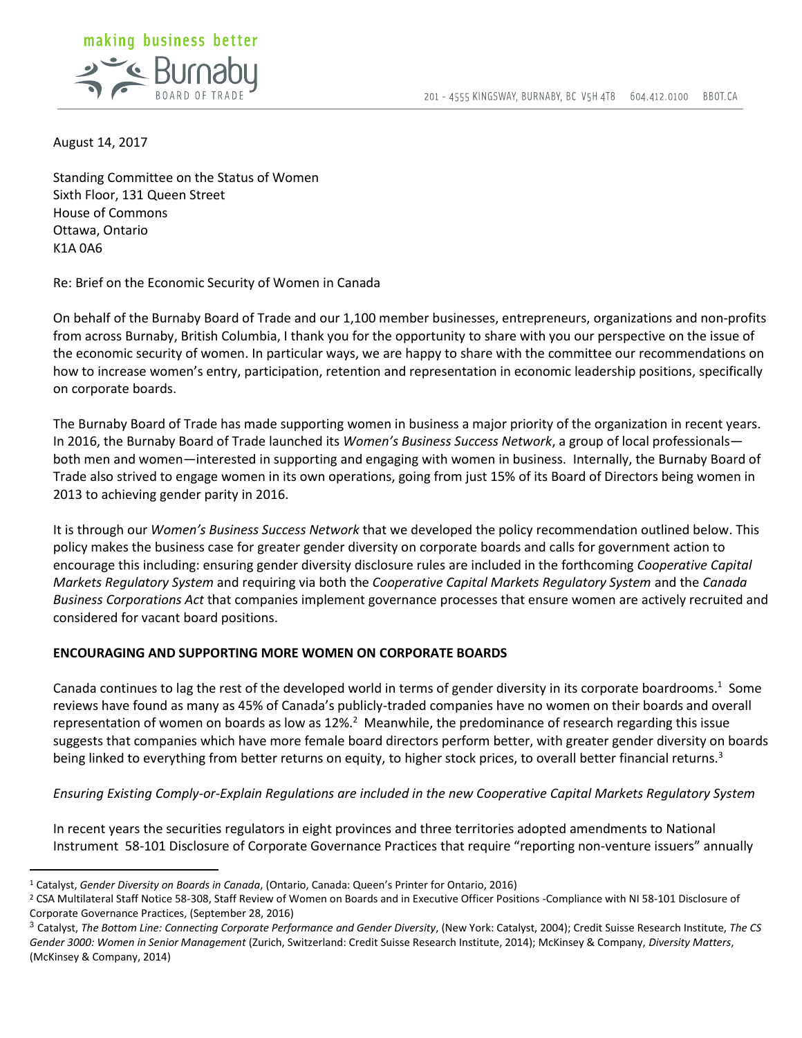

August 14, 2017

 $\overline{a}$ 

Standing Committee on the Status of Women Sixth Floor, 131 Queen Street House of Commons Ottawa, Ontario K1A 0A6

Re: Brief on the Economic Security of Women in Canada

On behalf of the Burnaby Board of Trade and our 1,100 member businesses, entrepreneurs, organizations and non-profits from across Burnaby, British Columbia, I thank you for the opportunity to share with you our perspective on the issue of the economic security of women. In particular ways, we are happy to share with the committee our recommendations on how to increase women's entry, participation, retention and representation in economic leadership positions, specifically on corporate boards.

The Burnaby Board of Trade has made supporting women in business a major priority of the organization in recent years. In 2016, the Burnaby Board of Trade launched its *Women's Business Success Network*, a group of local professionals both men and women—interested in supporting and engaging with women in business. Internally, the Burnaby Board of Trade also strived to engage women in its own operations, going from just 15% of its Board of Directors being women in 2013 to achieving gender parity in 2016.

It is through our *Women's Business Success Network* that we developed the policy recommendation outlined below. This policy makes the business case for greater gender diversity on corporate boards and calls for government action to encourage this including: ensuring gender diversity disclosure rules are included in the forthcoming *Cooperative Capital Markets Regulatory System* and requiring via both the *Cooperative Capital Markets Regulatory System* and the *Canada Business Corporations Act* that companies implement governance processes that ensure women are actively recruited and considered for vacant board positions.

## **ENCOURAGING AND SUPPORTING MORE WOMEN ON CORPORATE BOARDS**

Canada continues to lag the rest of the developed world in terms of gender diversity in its corporate boardrooms.<sup>1</sup> Some reviews have found as many as 45% of Canada's publicly-traded companies have no women on their boards and overall representation of women on boards as low as  $12\%$ .<sup>2</sup> Meanwhile, the predominance of research regarding this issue suggests that companies which have more female board directors perform better, with greater gender diversity on boards being linked to everything from better returns on equity, to higher stock prices, to overall better financial returns.<sup>3</sup>

*Ensuring Existing Comply-or-Explain Regulations are included in the new Cooperative Capital Markets Regulatory System*

In recent years the securities regulators in eight provinces and three territories adopted amendments to National Instrument 58-101 Disclosure of Corporate Governance Practices that require "reporting non-venture issuers" annually

<sup>1</sup> Catalyst, *Gender Diversity on Boards in Canada*, (Ontario, Canada: Queen's Printer for Ontario, 2016)

<sup>&</sup>lt;sup>2</sup> CSA Multilateral Staff Notice 58-308, Staff Review of Women on Boards and in Executive Officer Positions -Compliance with NI 58-101 Disclosure of Corporate Governance Practices, (September 28, 2016)

<sup>3</sup> Catalyst, *The Bottom Line: Connecting Corporate Performance and Gender Diversity*, (New York: Catalyst, 2004); Credit Suisse Research Institute, *The CS Gender 3000: Women in Senior Management* (Zurich, Switzerland: Credit Suisse Research Institute, 2014); McKinsey & Company, *Diversity Matters*, (McKinsey & Company, 2014)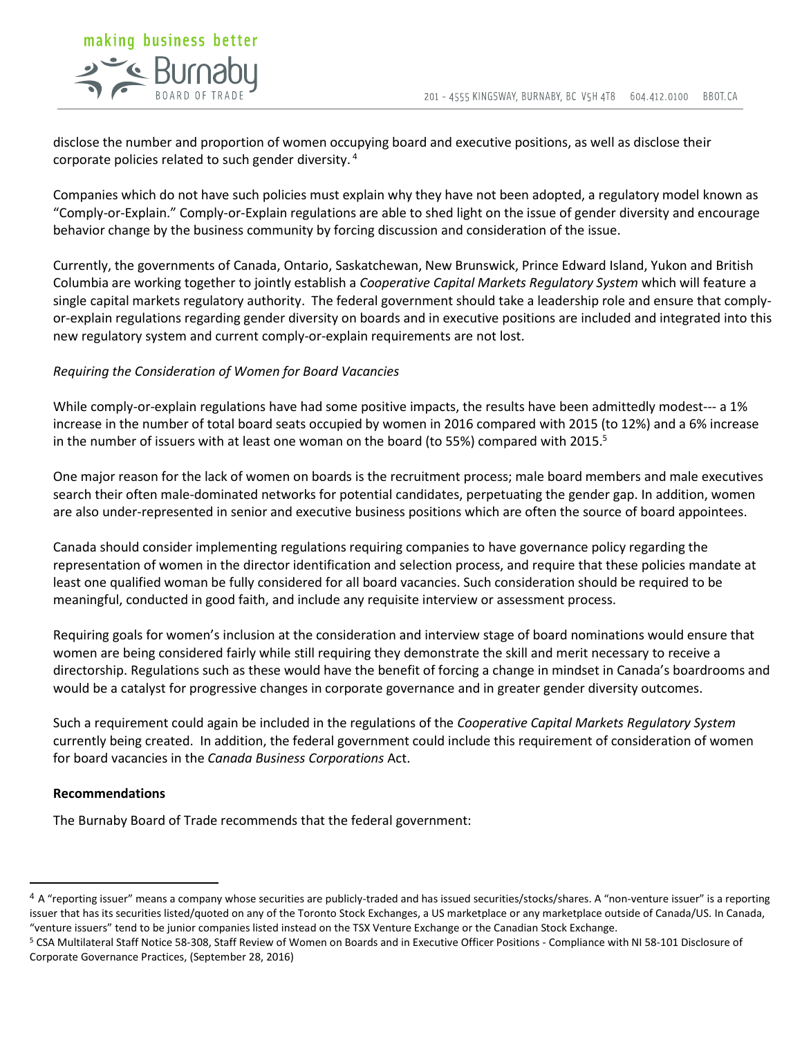

disclose the number and proportion of women occupying board and executive positions, as well as disclose their corporate policies related to such gender diversity. <sup>4</sup>

Companies which do not have such policies must explain why they have not been adopted, a regulatory model known as "Comply-or-Explain." Comply-or-Explain regulations are able to shed light on the issue of gender diversity and encourage behavior change by the business community by forcing discussion and consideration of the issue.

Currently, the governments of Canada, Ontario, Saskatchewan, New Brunswick, Prince Edward Island, Yukon and British Columbia are working together to jointly establish a *Cooperative Capital Markets Regulatory System* which will feature a single capital markets regulatory authority. The federal government should take a leadership role and ensure that complyor-explain regulations regarding gender diversity on boards and in executive positions are included and integrated into this new regulatory system and current comply-or-explain requirements are not lost.

## *Requiring the Consideration of Women for Board Vacancies*

While comply-or-explain regulations have had some positive impacts, the results have been admittedly modest--- a 1% increase in the number of total board seats occupied by women in 2016 compared with 2015 (to 12%) and a 6% increase in the number of issuers with at least one woman on the board (to 55%) compared with 2015.<sup>5</sup>

One major reason for the lack of women on boards is the recruitment process; male board members and male executives search their often male-dominated networks for potential candidates, perpetuating the gender gap. In addition, women are also under-represented in senior and executive business positions which are often the source of board appointees.

Canada should consider implementing regulations requiring companies to have governance policy regarding the representation of women in the director identification and selection process, and require that these policies mandate at least one qualified woman be fully considered for all board vacancies. Such consideration should be required to be meaningful, conducted in good faith, and include any requisite interview or assessment process.

Requiring goals for women's inclusion at the consideration and interview stage of board nominations would ensure that women are being considered fairly while still requiring they demonstrate the skill and merit necessary to receive a directorship. Regulations such as these would have the benefit of forcing a change in mindset in Canada's boardrooms and would be a catalyst for progressive changes in corporate governance and in greater gender diversity outcomes.

Such a requirement could again be included in the regulations of the *Cooperative Capital Markets Regulatory System*  currently being created. In addition, the federal government could include this requirement of consideration of women for board vacancies in the *Canada Business Corporations* Act.

## **Recommendations**

 $\overline{a}$ 

The Burnaby Board of Trade recommends that the federal government:

<sup>4</sup> A "reporting issuer" means a company whose securities are publicly-traded and has issued securities/stocks/shares. A "non-venture issuer" is a reporting issuer that has its securities listed/quoted on any of the Toronto Stock Exchanges, a US marketplace or any marketplace outside of Canada/US. In Canada, "venture issuers" tend to be junior companies listed instead on the TSX Venture Exchange or the Canadian Stock Exchange.

<sup>5</sup> CSA Multilateral Staff Notice 58-308, Staff Review of Women on Boards and in Executive Officer Positions - Compliance with NI 58-101 Disclosure of Corporate Governance Practices, (September 28, 2016)